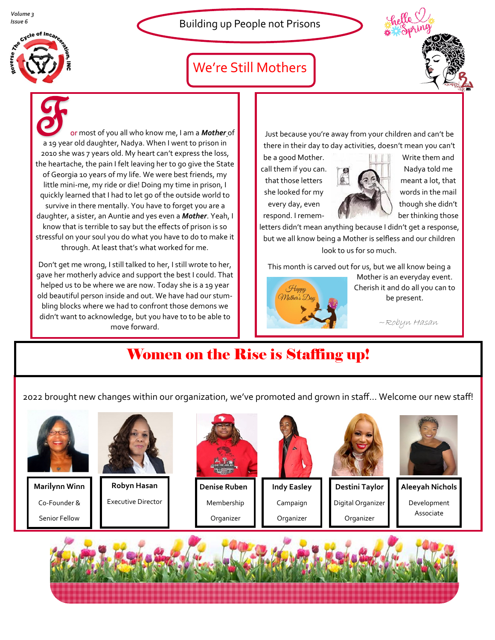*Volume 3*



### We're Still Mothers



or most of you all who know me, I am a *Mother* of a 19 year old daughter, Nadya. When I went to prison in 2010 she was 7 years old. My heart can't express the loss, the heartache, the pain I felt leaving her to go give the State of Georgia 10 years of my life. We were best friends, my little mini-me, my ride or die! Doing my time in prison, I quickly learned that I had to let go of the outside world to survive in there mentally. You have to forget you are a daughter, a sister, an Auntie and yes even a *Mother*. Yeah, I know that is terrible to say but the effects of prison is so stressful on your soul you do what you have to do to make it through. At least that's what worked for me.

Don't get me wrong, I still talked to her, I still wrote to her, gave her motherly advice and support the best I could. That helped us to be where we are now. Today she is a 19 year old beautiful person inside and out. We have had our stumbling blocks where we had to confront those demons we didn't want to acknowledge, but you have to to be able to move forward.

Just because you're away from your children and can't be there in their day to day activities, doesn't mean you can't

call them if you can.  $\overrightarrow{AB}$   $\overrightarrow{AB}$  Nadya told me that those letters  $\begin{array}{|c|c|c|c|c|}\n\hline\n\end{array}$  meant a lot, that she looked for my words in the mail every day, even the state of though she didn't respond. I remem- **the contract of the set of the set of the set of the set of the set of the set of the set of the set of the set of the set of the set of the set of the set of the set of the set of the set of the set of** 



be a good Mother. Write them and

letters didn't mean anything because I didn't get a response, but we all know being a Mother is selfless and our children look to us for so much.

This month is carved out for us, but we all know being a



Mother is an everyday event. Cherish it and do all you can to be present.

~Robyn Hasan

### Women on the Rise is Staffing up!

2022 brought new changes within our organization, we've promoted and grown in staff… Welcome our new staff!



**Marilynn Winn** Co-Founder & Senior Fellow



Executive Director

**Denise Ruben** Membership Organizer



Campaign Organizer

**Destini Taylor**

Digital Organizer Organizer



**Aleeyah Nichols**

Development Associate

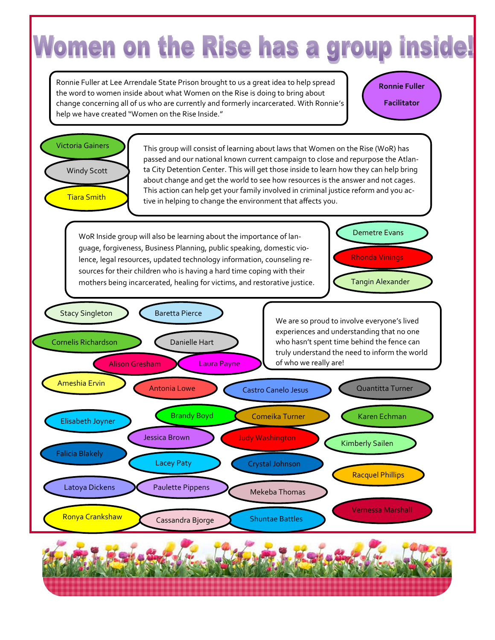# Women on the Rise has a group inside!

Ronnie Fuller at Lee Arrendale State Prison brought to us a great idea to help spread the word to women inside about what Women on the Rise is doing to bring about change concerning all of us who are currently and formerly incarcerated. With Ronnie's help we have created "Women on the Rise Inside."

**Ronnie Fuller Facilitator**



This group will consist of learning about laws that Women on the Rise (WoR) has passed and our national known current campaign to close and repurpose the Atlanta City Detention Center. This will get those inside to learn how they can help bring about change and get the world to see how resources is the answer and not cages. This action can help get your family involved in criminal justice reform and you active in helping to change the environment that affects you.

WoR Inside group will also be learning about the importance of language, forgiveness, Business Planning, public speaking, domestic violence, legal resources, updated technology information, counseling resources for their children who is having a hard time coping with their mothers being incarcerated, healing for victims, and restorative justice.

Tangin Alexander Rhonda Vinings

Demetre Evans

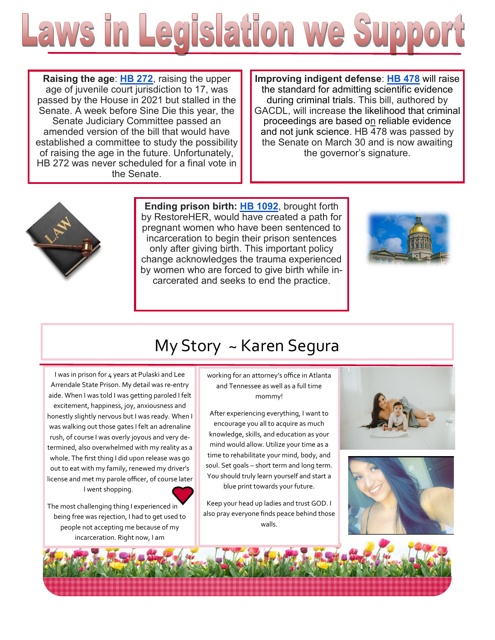

**Raising the age**: **[HB 272](https://www.legis.ga.gov/legislation/59281)**, raising the upper age of juvenile court jurisdiction to 17, was passed by the House in 2021 but stalled in the Senate. A week before Sine Die this year, the Senate Judiciary Committee passed an amended version of the bill that would have established a committee to study the possibility of raising the age in the future. Unfortunately, HB 272 was never scheduled for a final vote in the Senate.

**Improving indigent defense**: **[HB 478](https://www.legis.ga.gov/legislation/59725)** will raise the standard for admitting scientific evidence during criminal trials. This bill, authored by GACDL, will increase the likelihood that criminal proceedings are based on reliable evidence and not junk science. HB 478 was passed by the Senate on March 30 and is now awaiting the governor's signature.



**Ending prison birth: [HB 1092](https://www.legis.ga.gov/legislation/61485)**, brought forth by RestoreHER, would have created a path for pregnant women who have been sentenced to incarceration to begin their prison sentences only after giving birth. This important policy change acknowledges the trauma experienced by women who are forced to give birth while incarcerated and seeks to end the practice.



## My Story ~ Karen Segura

I was in prison for 4 years at Pulaski and Lee Arrendale State Prison. My detail was re-entry aide. When I was told I was getting paroled I felt excitement, happiness, joy, anxiousness and honestly slightly nervous but I was ready. When I was walking out those gates I felt an adrenaline rush, of course I was overly joyous and very determined, also overwhelmed with my reality as a whole. The first thing I did upon release was go out to eat with my family, renewed my driver's license and met my parole officer, of course later I went shopping.



The most challenging thing I experienced in being free was rejection, I had to get used to people not accepting me because of my incarceration. Right now, I am

working for an attorney's office in Atlanta and Tennessee as well as a full time mommy!

After experiencing everything, I want to encourage you all to acquire as much knowledge, skills, and education as your mind would allow. Utilize your time as a time to rehabilitate your mind, body, and soul. Set goals – short term and long term. You should truly learn yourself and start a blue print towards your future.

Keep your head up ladies and trust GOD. I also pray everyone finds peace behind those walls.